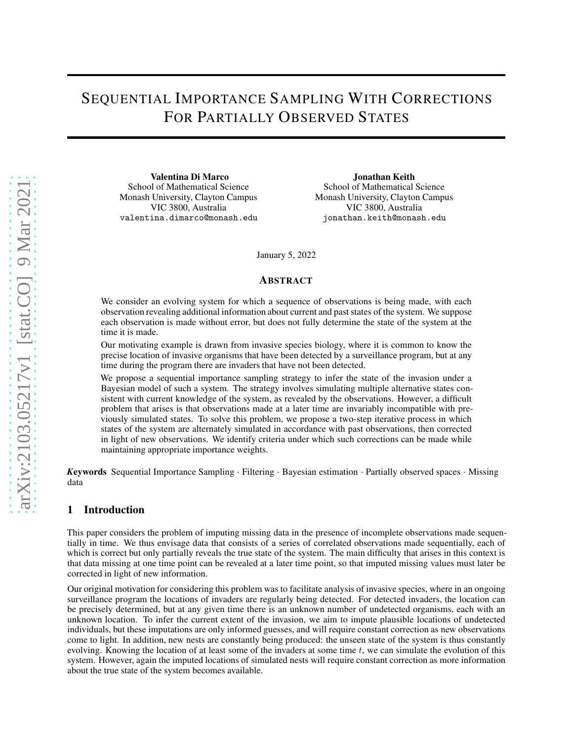# SEQUENTIAL IMPORTANCE SAMPLING WITH CORRECTIONS FOR PARTIALLY OBSERVED STATES

Valentina Di Marco School of Mathematical Science Monash University, Clayton Campus VIC 3800, Australia valentina.dimarco@monash.edu

Jonathan Keith School of Mathematical Science Monash University, Clayton Campus VIC 3800, Australia jonathan.keith@monash.edu

January 5, 2022

# **ABSTRACT**

We consider an evolving system for which a sequence of observations is being made, with each observation revealing additional information about current and past states of the system. We suppose each observation is made without error, but does not fully determine the state of the system at the time it is made.

Our motivating example is drawn from invasive species biology, where it is common to know the precise location of invasive organisms that have been detected by a surveillance program, but at any time during the program there are invaders that have not been detected.

We propose a sequential importance sampling strategy to infer the state of the invasion under a Bayesian model of such a system. The strategy involves simulating multiple alternative states consistent with current knowledge of the system, as revealed by the observations. However, a difficult problem that arises is that observations made at a later time are invariably incompatible with previously simulated states. To solve this problem, we propose a two-step iterative process in which states of the system are alternately simulated in accordance with past observations, then corrected in light of new observations. We identify criteria under which such corrections can be made while maintaining appropriate importance weights.

*K*eywords Sequential Importance Sampling · Filtering · Bayesian estimation · Partially observed spaces · Missing data

# 1 Introduction

This paper considers the problem of imputing missing data in the presence of incomplete observations made sequentially in time. We thus envisage data that consists of a series of correlated observations made sequentially, each of which is correct but only partially reveals the true state of the system. The main difficulty that arises in this context is that data missing at one time point can be revealed at a later time point, so that imputed missing values must later be corrected in light of new information.

Our original motivation for considering this problem was to facilitate analysis of invasive species, where in an ongoing surveillance program the locations of invaders are regularly being detected. For detected invaders, the location can be precisely determined, but at any given time there is an unknown number of undetected organisms, each with an unknown location. To infer the current extent of the invasion, we aim to impute plausible locations of undetected individuals, but these imputations are only informed guesses, and will require constant correction as new observations come to light. In addition, new nests are constantly being produced: the unseen state of the system is thus constantly evolving. Knowing the location of at least some of the invaders at some time  $t$ , we can simulate the evolution of this system. However, again the imputed locations of simulated nests will require constant correction as more information about the true state of the system becomes available.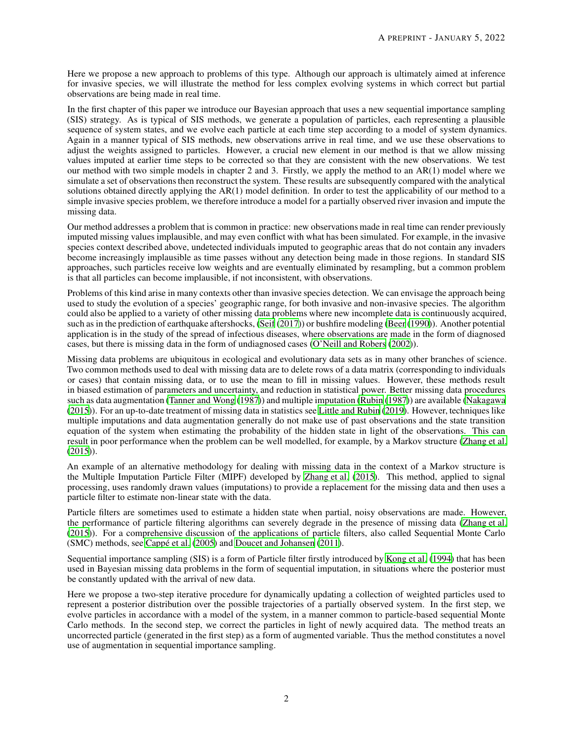Here we propose a new approach to problems of this type. Although our approach is ultimately aimed at inference for invasive species, we will illustrate the method for less complex evolving systems in which correct but partial observations are being made in real time.

In the first chapter of this paper we introduce our Bayesian approach that uses a new sequential importance sampling (SIS) strategy. As is typical of SIS methods, we generate a population of particles, each representing a plausible sequence of system states, and we evolve each particle at each time step according to a model of system dynamics. Again in a manner typical of SIS methods, new observations arrive in real time, and we use these observations to adjust the weights assigned to particles. However, a crucial new element in our method is that we allow missing values imputed at earlier time steps to be corrected so that they are consistent with the new observations. We test our method with two simple models in chapter 2 and 3. Firstly, we apply the method to an AR(1) model where we simulate a set of observations then reconstruct the system. These results are subsequently compared with the analytical solutions obtained directly applying the AR(1) model definition. In order to test the applicability of our method to a simple invasive species problem, we therefore introduce a model for a partially observed river invasion and impute the missing data.

Our method addresses a problem that is common in practice: new observations made in real time can render previously imputed missing values implausible, and may even conflict with what has been simulated. For example, in the invasive species context described above, undetected individuals imputed to geographic areas that do not contain any invaders become increasingly implausible as time passes without any detection being made in those regions. In standard SIS approaches, such particles receive low weights and are eventually eliminated by resampling, but a common problem is that all particles can become implausible, if not inconsistent, with observations.

Problems of this kind arise in many contexts other than invasive species detection. We can envisage the approach being used to study the evolution of a species' geographic range, for both invasive and non-invasive species. The algorithm could also be applied to a variety of other missing data problems where new incomplete data is continuously acquired, such as in the prediction of earthquake aftershocks, [\(Seif \(2017\)](#page-14-0)) or bushfire modeling [\(Beer](#page-14-1) [\(1990\)](#page-14-1)). Another potential application is in the study of the spread of infectious diseases, where observations are made in the form of diagnosed cases, but there is missing data in the form of undiagnosed cases [\(O'Neill and Robers \(2002](#page-14-2))).

Missing data problems are ubiquitous in ecological and evolutionary data sets as in many other branches of science. Two common methods used to deal with missing data are to delete rows of a data matrix (corresponding to individuals or cases) that contain missing data, or to use the mean to fill in missing values. However, these methods result in biased estimation of parameters and uncertainty, and reduction in statistical power. Better missing data procedures such as data augmentation [\(Tanner and Wong \(1987\)](#page-15-0)) and multiple imputation [\(Rubin](#page-14-3) [\(1987\)](#page-14-3)) are available [\(Nakagawa](#page-14-4) [\(2015\)](#page-14-4)). For an up-to-date treatment of missing data in statistics see [Little and Rubin](#page-14-5) [\(2019\)](#page-14-5). However, techniques like multiple imputations and data augmentation generally do not make use of past observations and the state transition equation of the system when estimating the probability of the hidden state in light of the observations. This can result in poor performance when the problem can be well modelled, for example, by a Markov structure [\(Zhang et al.](#page-15-1) [\(2015\)](#page-15-1)).

An example of an alternative methodology for dealing with missing data in the context of a Markov structure is the Multiple Imputation Particle Filter (MIPF) developed by [Zhang et al. \(2015](#page-15-1)). This method, applied to signal processing, uses randomly drawn values (imputations) to provide a replacement for the missing data and then uses a particle filter to estimate non-linear state with the data.

Particle filters are sometimes used to estimate a hidden state when partial, noisy observations are made. However, the performance of particle filtering algorithms can severely degrade in the presence of missing data [\(Zhang et al.](#page-15-1) [\(2015\)](#page-15-1)). For a comprehensive discussion of the applications of particle filters, also called Sequential Monte Carlo (SMC) methods, see [Cappé et al. \(2005\)](#page-14-6) and [Doucet and Johansen \(2011\)](#page-14-7).

Sequential importance sampling (SIS) is a form of Particle filter firstly introduced by [Kong et al. \(1994](#page-14-8)) that has been used in Bayesian missing data problems in the form of sequential imputation, in situations where the posterior must be constantly updated with the arrival of new data.

Here we propose a two-step iterative procedure for dynamically updating a collection of weighted particles used to represent a posterior distribution over the possible trajectories of a partially observed system. In the first step, we evolve particles in accordance with a model of the system, in a manner common to particle-based sequential Monte Carlo methods. In the second step, we correct the particles in light of newly acquired data. The method treats an uncorrected particle (generated in the first step) as a form of augmented variable. Thus the method constitutes a novel use of augmentation in sequential importance sampling.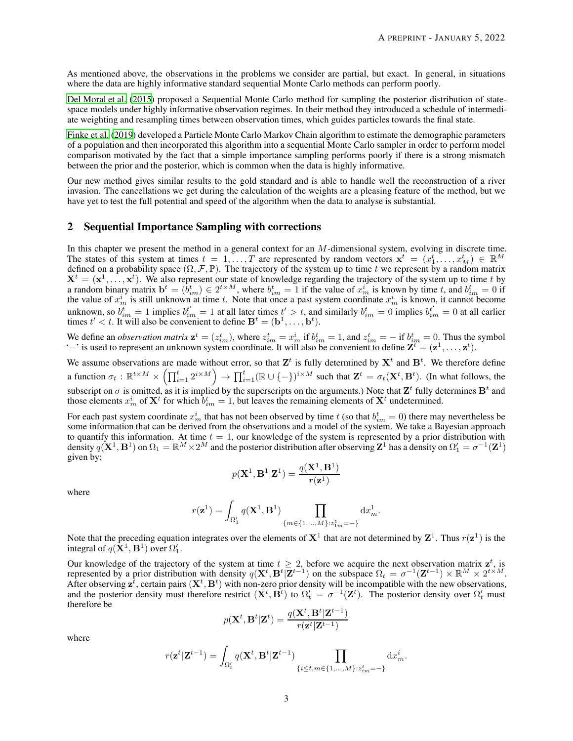As mentioned above, the observations in the problems we consider are partial, but exact. In general, in situations where the data are highly informative standard sequential Monte Carlo methods can perform poorly.

Del Moral et al. (2015) proposed a Sequential Monte Carlo method for sampling the posterior distribution of statespace models under highly informative observation regimes. In their method they introduced a schedule of intermediate weighting and resampling times between observation times, which guides particles towards the final state.

[Finke et al. \(2019\)](#page-14-9) developed a Particle Monte Carlo Markov Chain algorithm to estimate the demographic parameters of a population and then incorporated this algorithm into a sequential Monte Carlo sampler in order to perform model comparison motivated by the fact that a simple importance sampling performs poorly if there is a strong mismatch between the prior and the posterior, which is common when the data is highly informative.

Our new method gives similar results to the gold standard and is able to handle well the reconstruction of a river invasion. The cancellations we get during the calculation of the weights are a pleasing feature of the method, but we have yet to test the full potential and speed of the algorithm when the data to analyse is substantial.

## <span id="page-2-0"></span>2 Sequential Importance Sampling with corrections

In this chapter we present the method in a general context for an M-dimensional system, evolving in discrete time. The states of this system at times  $t = 1, \ldots, T$  are represented by random vectors  $\mathbf{x}^t = (x_1^t, \ldots, x_M^t) \in \mathbb{R}^M$ defined on a probability space  $(\Omega, \mathcal{F}, \mathbb{P})$ . The trajectory of the system up to time t we represent by a random matrix  $X^t = (x^1, \ldots, x^t)$ . We also represent our state of knowledge regarding the trajectory of the system up to time t by a random binary matrix  $\mathbf{b}^t = (b_{im}^t) \in 2^{t \times M}$ , where  $b_{im}^t = 1$  if the value of  $x_m^i$  is known by time t, and  $b_{im}^t = 0$  if the value of  $x_m^i$  is still unknown at time t. Note that once a past system coordinate  $x_m^i$  is known, it cannot become unknown, so  $b_{im}^t = 1$  implies  $b_{im}^{t'} = 1$  at all later times  $t' > t$ , and similarly  $b_{im}^t = 0$  implies  $b_{im}^{t'} = 0$  at all earlier times  $t' < t$ . It will also be convenient to define  $\mathbf{B}^{t} = (\mathbf{b}^{1}, \dots, \mathbf{b}^{t}).$ 

We define an *observation matrix*  $\mathbf{z}^t = (z_{im}^t)$ , where  $z_{im}^t = x_m^i$  if  $b_{im}^t = 1$ , and  $z_{im}^t = -$  if  $b_{im}^t = 0$ . Thus the symbol '-' is used to represent an unknown system coordinate. It will also be convenient to define  $\mathbf{Z}^t = (\mathbf{z}^1, \dots, \mathbf{z}^t)$ .

We assume observations are made without error, so that  $\mathbf{Z}^t$  is fully determined by  $\mathbf{X}^t$  and  $\mathbf{B}^t$ . We therefore define a function  $\sigma_t : \mathbb{R}^{t \times M} \times \left( \prod_{i=1}^t 2^{i \times M} \right) \to \prod_{i=1}^t (\mathbb{R} \cup \{-\})^{i \times M}$  such that  $\mathbf{Z}^t = \sigma_t(\mathbf{X}^t, \mathbf{B}^t)$ . (In what follows, the subscript on  $\sigma$  is omitted, as it is implied by the superscripts on the arguments.) Note that  $\mathbf{Z}^t$  fully determines  $\mathbf{B}^t$  and those elements  $x_m^i$  of  $\mathbf{X}^t$  for which  $b_{im}^t = 1$ , but leaves the remaining elements of  $\mathbf{X}^t$  undetermined.

For each past system coordinate  $x_m^i$  that has not been observed by time  $t$  (so that  $b_{im}^t = 0$ ) there may nevertheless be some information that can be derived from the observations and a model of the system. We take a Bayesian approach to quantify this information. At time  $t = 1$ , our knowledge of the system is represented by a prior distribution with density  $q(X^1, B^1)$  on  $\Omega_1 = \mathbb{R}^M \times 2^M$  and the posterior distribution after observing  $\mathbf{Z}^1$  has a density on  $\Omega'_1 = \sigma^{-1}(\mathbf{Z}^1)$ given by:

$$
p(\mathbf{X}^1, \mathbf{B}^1|\mathbf{Z}^1) = \frac{q(\mathbf{X}^1, \mathbf{B}^1)}{r(\mathbf{z}^1)}
$$

where

$$
r(\mathbf{z}^1) = \int_{\Omega'_1} q(\mathbf{X}^1, \mathbf{B}^1) \prod_{\{m \in \{1, \dots, M\}: z^1_{1m} = -\}} dx^1_m.
$$

Note that the preceding equation integrates over the elements of  $X^1$  that are not determined by  $Z^1$ . Thus  $r(z^1)$  is the integral of  $q(\mathbf{X}^1, \mathbf{B}^1)$  over  $\Omega'_1$ .

Our knowledge of the trajectory of the system at time  $t \geq 2$ , before we acquire the next observation matrix  $z^t$ , is represented by a prior distribution with density  $q(\mathbf{X}^t, \mathbf{B}^t | \mathbf{Z}^{t-1})$  on the subspace  $\Omega_t = \sigma^{-1}(\mathbf{Z}^{t-1}) \times \mathbb{R}^M \times 2^{t \times M}$ . After observing  $z^{\bar{t}}$ , certain pairs  $(X^t, B^t)$  with non-zero prior density will be incompatible with the new observations, and the posterior density must therefore restrict  $(X^t, B^t)$  to  $\Omega'_t = \sigma^{-1}(Z^t)$ . The posterior density over  $\Omega'_t$  must therefore be

$$
p(\mathbf{X}^t, \mathbf{B}^t|\mathbf{Z}^t) = \frac{q(\mathbf{X}^t, \mathbf{B}^t|\mathbf{Z}^{t-1})}{r(\mathbf{z}^t|\mathbf{Z}^{t-1})}
$$

where

$$
r(\mathbf{z}^t|\mathbf{Z}^{t-1}) = \int_{\Omega'_t} q(\mathbf{X}^t, \mathbf{B}^t|\mathbf{Z}^{t-1}) \prod_{\{i \le t, m \in \{1, \dots, M\}: z_{im}^t = -\}} dx_m^i.
$$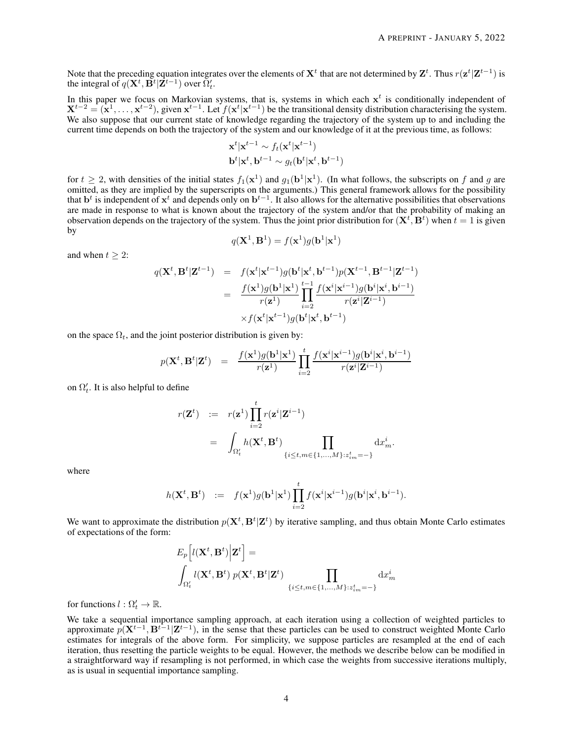Note that the preceding equation integrates over the elements of  $X^t$  that are not determined by  $Z^t$ . Thus  $r(z^t|Z^{t-1})$  is the integral of  $q(\mathbf{X}^t, \mathbf{B}^t | \mathbf{Z}^{t-1})$  over  $\Omega'_t$ .

In this paper we focus on Markovian systems, that is, systems in which each  $x<sup>t</sup>$  is conditionally independent of  $X^{t-2} = (x^1, \ldots, x^{t-2})$ , given  $x^{t-1}$ . Let  $f(x^t | x^{t-1})$  be the transitional density distribution characterising the system. We also suppose that our current state of knowledge regarding the trajectory of the system up to and including the current time depends on both the trajectory of the system and our knowledge of it at the previous time, as follows:

$$
\mathbf{x}^t | \mathbf{x}^{t-1} \sim f_t(\mathbf{x}^t | \mathbf{x}^{t-1})
$$
  

$$
\mathbf{b}^t | \mathbf{x}^t, \mathbf{b}^{t-1} \sim g_t(\mathbf{b}^t | \mathbf{x}^t, \mathbf{b}^{t-1})
$$

for  $t \ge 2$ , with densities of the initial states  $f_1(\mathbf{x}^1)$  and  $g_1(\mathbf{b}^1|\mathbf{x}^1)$ . (In what follows, the subscripts on f and g are omitted, as they are implied by the superscripts on the arguments.) This general framework allows for the possibility that  $\mathbf{b}^t$  is independent of  $\mathbf{x}^t$  and depends only on  $\mathbf{b}^{t-1}$ . It also allows for the alternative possibilities that observations are made in response to what is known about the trajectory of the system and/or that the probability of making an observation depends on the trajectory of the system. Thus the joint prior distribution for  $(X^t, B^t)$  when  $t = 1$  is given by

$$
q(\mathbf{X}^1, \mathbf{B}^1) = f(\mathbf{x}^1)g(\mathbf{b}^1|\mathbf{x}^1)
$$

and when  $t \geq 2$ :

$$
q(\mathbf{X}^{t}, \mathbf{B}^{t}|\mathbf{Z}^{t-1}) = f(\mathbf{x}^{t}|\mathbf{x}^{t-1})g(\mathbf{b}^{t}|\mathbf{x}^{t}, \mathbf{b}^{t-1})p(\mathbf{X}^{t-1}, \mathbf{B}^{t-1}|\mathbf{Z}^{t-1})
$$
  

$$
= \frac{f(\mathbf{x}^{1})g(\mathbf{b}^{1}|\mathbf{x}^{1})}{r(\mathbf{z}^{1})} \prod_{i=2}^{t-1} \frac{f(\mathbf{x}^{i}|\mathbf{x}^{i-1})g(\mathbf{b}^{i}|\mathbf{x}^{i}, \mathbf{b}^{i-1})}{r(\mathbf{z}^{i}|\mathbf{Z}^{i-1})}
$$
  

$$
\times f(\mathbf{x}^{t}|\mathbf{x}^{t-1})g(\mathbf{b}^{t}|\mathbf{x}^{t}, \mathbf{b}^{t-1})
$$

on the space  $\Omega_t$ , and the joint posterior distribution is given by:

$$
p(\mathbf{X}^t,\mathbf{B}^t|\mathbf{Z}^t) \quad = \quad \frac{f(\mathbf{x}^1)g(\mathbf{b}^1|\mathbf{x}^1)}{r(\mathbf{z}^1)}\prod_{i=2}^t \frac{f(\mathbf{x}^i|\mathbf{x}^{i-1})g(\mathbf{b}^i|\mathbf{x}^i,\mathbf{b}^{i-1})}{r(\mathbf{z}^i|\mathbf{Z}^{i-1})}
$$

on  $\Omega'_t$ . It is also helpful to define

$$
\begin{array}{lcl} r(\mathbf{Z}^t) & := & r(\mathbf{z}^1) \displaystyle \prod_{i=2}^t r(\mathbf{z}^i|\mathbf{Z}^{i-1}) \\ \\ & = & \displaystyle \int_{\Omega'_t} h(\mathbf{X}^t,\mathbf{B}^t) \prod_{\{i\leq t,m\in\{1,...,M\}:z_{im}^t=-\}} \mathrm{d}x_m^i. \end{array}
$$

where

$$
h(\mathbf{X}^t,\mathbf{B}^t) \hspace{2mm} := \hspace{2mm} f(\mathbf{x}^1)g(\mathbf{b}^1|\mathbf{x}^1)\prod_{i=2}^t f(\mathbf{x}^i|\mathbf{x}^{i-1})g(\mathbf{b}^i|\mathbf{x}^i,\mathbf{b}^{i-1}).
$$

We want to approximate the distribution  $p(X^t, B^t | \mathbf{Z}^t)$  by iterative sampling, and thus obtain Monte Carlo estimates of expectations of the form:

$$
E_p\left[l(\mathbf{X}^t, \mathbf{B}^t)\Big|\mathbf{Z}^t\right] = \int_{\Omega'_t} l(\mathbf{X}^t, \mathbf{B}^t) p(\mathbf{X}^t, \mathbf{B}^t|\mathbf{Z}^t) \prod_{\{i \le t, m \in \{1, \dots, M\}: z_{im}^t = -\}} dx_m^i
$$

for functions  $l : \Omega'_t \to \mathbb{R}$ .

We take a sequential importance sampling approach, at each iteration using a collection of weighted particles to approximate  $p(X^{t-1}, B^{t-1} | Z^{t-1})$ , in the sense that these particles can be used to construct weighted Monte Carlo estimates for integrals of the above form. For simplicity, we suppose particles are resampled at the end of each iteration, thus resetting the particle weights to be equal. However, the methods we describe below can be modified in a straightforward way if resampling is not performed, in which case the weights from successive iterations multiply, as is usual in sequential importance sampling.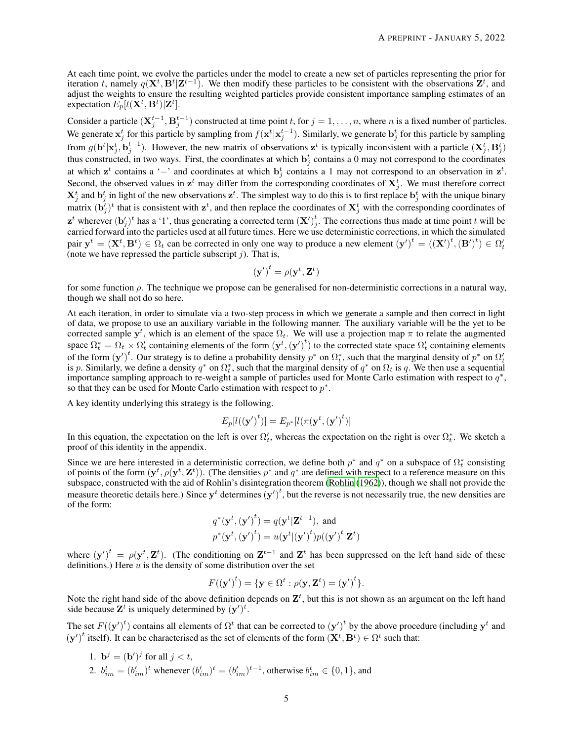At each time point, we evolve the particles under the model to create a new set of particles representing the prior for iteration t, namely  $q(X^t, B^t | Z^{t-1})$ . We then modify these particles to be consistent with the observations  $Z^t$ , and adjust the weights to ensure the resulting weighted particles provide consistent importance sampling estimates of an expectation  $E_p[l(\mathbf{X}^t, \mathbf{B}^t)|\mathbf{Z}^t]$ .

Consider a particle  $(\mathbf{X}_{j}^{t-1}, \mathbf{B}_{j}^{t-1})$  constructed at time point t, for  $j = 1, \ldots, n$ , where n is a fixed number of particles. We generate  $x_j^t$  for this particle by sampling from  $f(x^t|x_j^{t-1})$ . Similarly, we generate  $b_j^t$  for this particle by sampling from  $g(\mathbf{b}^t | \mathbf{x}_j^t, \mathbf{b}_j^{t-1})$ . However, the new matrix of observations  $\mathbf{z}^t$  is typically inconsistent with a particle  $(\mathbf{X}_j^t, \mathbf{B}_j^t)$ thus constructed, in two ways. First, the coordinates at which  $\mathbf{b}_j^t$  contains a 0 may not correspond to the coordinates at which  $z^t$  contains a '−' and coordinates at which  $b_j^t$  contains a 1 may not correspond to an observation in  $z^t$ . Second, the observed values in  $z^t$  may differ from the corresponding coordinates of  $X_j^t$ . We must therefore correct  $X_j^t$  and  $b_j^t$  in light of the new observations  $z^t$ . The simplest way to do this is to first replace  $b_j^t$  with the unique binary matrix  $(\mathbf{b}'_j)^t$  that is consistent with  $\mathbf{z}^t$ , and then replace the coordinates of  $\mathbf{X}_j^t$  with the corresponding coordinates of  $\mathbf{z}^t$  wherever  $(\mathbf{b}'_j)^t$  has a '1', thus generating a corrected term  $(\mathbf{X}')_j^t$  $i_j$ . The corrections thus made at time point t will be carried forward into the particles used at all future times. Here we use deterministic corrections, in which the simulated pair  $y^t = (X^t, B^t) \in \Omega_t$  can be corrected in only one way to produce a new element  $(y')^t = ((X')^t, (B')^t) \in \Omega_t'$ (note we have repressed the particle subscript  $j$ ). That is,

$$
\left(\mathbf{y}'\right)^t = \rho(\mathbf{y}^t, \mathbf{Z}^t)
$$

for some function  $\rho$ . The technique we propose can be generalised for non-deterministic corrections in a natural way, though we shall not do so here.

At each iteration, in order to simulate via a two-step process in which we generate a sample and then correct in light of data, we propose to use an auxiliary variable in the following manner. The auxiliary variable will be the yet to be corrected sample  $y^t$ , which is an element of the space  $\Omega_t$ . We will use a projection map  $\pi$  to relate the augmented space  $\Omega_t^* = \Omega_t \times \Omega_t'$  containing elements of the form  $(\mathbf{y}^t, (\mathbf{y}')^t)$  to the corrected state space  $\Omega_t'$  containing elements of the form  $(y')^t$ . Our strategy is to define a probability density  $p^*$  on  $\Omega_t^*$ , such that the marginal density of  $p^*$  on  $\Omega_t'$ is p. Similarly, we define a density  $q^*$  on  $\Omega_t^*$ , such that the marginal density of  $q^*$  on  $\Omega_t$  is q. We then use a sequential importance sampling approach to re-weight a sample of particles used for Monte Carlo estimation with respect to  $q^*$ , so that they can be used for Monte Carlo estimation with respect to  $p^*$ .

A key identity underlying this strategy is the following.

$$
E_p[l(\mathbf{y'})^t)] = E_{p^*}[l(\pi(\mathbf{y}^t, \mathbf{(y'})^t)]
$$

In this equation, the expectation on the left is over  $\Omega'_t$ , whereas the expectation on the right is over  $\Omega_t^*$ . We sketch a proof of this identity in the appendix.

Since we are here interested in a deterministic correction, we define both  $p^*$  and  $q^*$  on a subspace of  $\Omega_t^*$  consisting of points of the form  $(y^t, \rho(y^t, \mathbf{Z}^t))$ . (The densities  $p^*$  and  $q^*$  are defined with respect to a reference measure on this subspace, constructed with the aid of Rohlin's disintegration theorem [\(Rohlin \(1962](#page-14-10))), though we shall not provide the measure theoretic details here.) Since  $y^t$  determines  $(y')^t$ , but the reverse is not necessarily true, the new densities are of the form:

$$
q^*(\mathbf{y}^t, (\mathbf{y}')^t) = q(\mathbf{y}^t | \mathbf{Z}^{t-1}), \text{ and}
$$
  

$$
p^*(\mathbf{y}^t, (\mathbf{y}')^t) = u(\mathbf{y}^t | (\mathbf{y}')^t) p((\mathbf{y}')^t | \mathbf{Z}^t)
$$

where  $(y')^t = \rho(y^t, Z^t)$ . (The conditioning on  $Z^{t-1}$  and  $Z^t$  has been suppressed on the left hand side of these definitions.) Here  $u$  is the density of some distribution over the set

$$
F(\mathbf{(y')}^t) = \{ \mathbf{y} \in \Omega^t : \rho(\mathbf{y}, \mathbf{Z}^t) = (\mathbf{y'})^t \}.
$$

Note the right hand side of the above definition depends on  $\mathbf{Z}^t$ , but this is not shown as an argument on the left hand side because  $\mathbf{Z}^t$  is uniquely determined by  $(\mathbf{y}')^t$ .

The set  $F({(y')}^t)$  contains all elements of  $\Omega^t$  that can be corrected to  $(y')^t$  by the above procedure (including  $y^t$  and  $(y')^t$  itself). It can be characterised as the set of elements of the form  $(X^t, B^t) \in \Omega^t$  such that:

1.  $\mathbf{b}^j = (\mathbf{b}')^j$  for all  $j < t$ , 2.  $b_{im}^t = (b'_{im})^t$  whenever  $(b'_{im})^t = (b'_{im})^{t-1}$ , otherwise  $b_{im}^t \in \{0, 1\}$ , and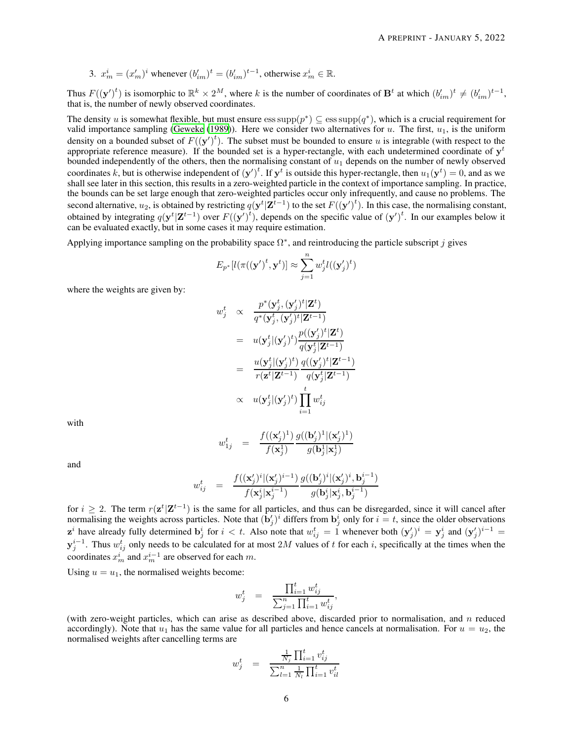3. 
$$
x_m^i = (x_m')^i
$$
 whenever  $(b_{im}')^t = (b_{im}')^{t-1}$ , otherwise  $x_m^i \in \mathbb{R}$ .

Thus  $F({(\mathbf{y}')^t})$  is isomorphic to  $\mathbb{R}^k \times 2^M$ , where k is the number of coordinates of  $\mathbf{B}^t$  at which  $(b'_{im})^t \neq (b'_{im})^{t-1}$ , that is, the number of newly observed coordinates.

The density u is somewhat flexible, but must ensure  $\text{ess supp}(p^*) \subseteq \text{ess supp}(q^*)$ , which is a crucial requirement for valid importance sampling [\(Geweke \(1989](#page-14-11))). Here we consider two alternatives for  $u$ . The first,  $u_1$ , is the uniform density on a bounded subset of  $F({(y')}^t)$ . The subset must be bounded to ensure u is integrable (with respect to the appropriate reference measure). If the bounded set is a hyper-rectangle, with each undetermined coordinate of  $y<sup>t</sup>$ bounded independently of the others, then the normalising constant of  $u_1$  depends on the number of newly observed coordinates k, but is otherwise independent of  $(y')^t$ . If  $y^t$  is outside this hyper-rectangle, then  $u_1(y^t) = 0$ , and as we shall see later in this section, this results in a zero-weighted particle in the context of importance sampling. In practice, the bounds can be set large enough that zero-weighted particles occur only infrequently, and cause no problems. The second alternative,  $u_2$ , is obtained by restricting  $q(y^t | \mathbf{Z}^{t-1})$  to the set  $F((y')^t)$ . In this case, the normalising constant, obtained by integrating  $q(y^t | \mathbf{Z}^{t-1})$  over  $F((y')^t)$ , depends on the specific value of  $(y')^t$ . In our examples below it can be evaluated exactly, but in some cases it may require estimation.

Applying importance sampling on the probability space  $\Omega^*$ , and reintroducing the particle subscript j gives

$$
E_{p^*}[l(\pi(\mathbf{y}')^t, \mathbf{y}^t)] \approx \sum_{j=1}^n w_j^t l((\mathbf{y}'_j)^t)
$$

where the weights are given by:

$$
\begin{array}{rcl} w_j^t & \propto & \displaystyle \frac{p^*(\mathbf{y}_j^t,(\mathbf{y}_j')^t|\mathbf{Z}^t)}{q^*(\mathbf{y}_j^t,(\mathbf{y}_j')^t|\mathbf{Z}^{t-1})} \\ \\ & = & u(\mathbf{y}_j^t|(\mathbf{y}_j')^t) \frac{p((\mathbf{y}_j')^t|\mathbf{Z}^t)}{q(\mathbf{y}_j^t|\mathbf{Z}^{t-1})} \\ \\ & = & \displaystyle \frac{u(\mathbf{y}_j^t|(\mathbf{y}_j')^t)}{r(\mathbf{z}^t|\mathbf{Z}^{t-1})} \frac{q((\mathbf{y}_j')^t|\mathbf{Z}^{t-1})}{q(\mathbf{y}_j^t|\mathbf{Z}^{t-1})} \\ \\ & \propto & u(\mathbf{y}_j^t|(\mathbf{y}_j')^t) \prod_{i=1}^t w_{ij}^t \end{array}
$$

with

$$
w_{1j}^t = \frac{f((\mathbf{x}_j')^1)}{f(\mathbf{x}_j^1)} \frac{g((\mathbf{b}_j')^1 | (\mathbf{x}_j')^1)}{g(\mathbf{b}_j^1 | \mathbf{x}_j^1)}
$$

and

$$
w_{ij}^t \quad = \quad \frac{f((\mathbf{x}_j')^i|(\mathbf{x}_j')^{i-1})}{f(\mathbf{x}_j^i|\mathbf{x}_j^{i-1})} \frac{g((\mathbf{b}_j')^i|(\mathbf{x}_j')^i, \mathbf{b}_j^{i-1})}{g(\mathbf{b}_j^i|\mathbf{x}_j^i, \mathbf{b}_j^{i-1})}
$$

for  $i \geq 2$ . The term  $r(\mathbf{z}^t | \mathbf{Z}^{t-1})$  is the same for all particles, and thus can be disregarded, since it will cancel after normalising the weights across particles. Note that  $(\bar{\mathbf{b}}'_j)^i$  differs from  $\mathbf{b}^i_j$  only for  $i = t$ , since the older observations  $z^i$  have already fully determined  $b^i_j$  for  $i < t$ . Also note that  $w^t_{ij} = 1$  whenever both  $({\bf y}'_j)^i = {\bf y}^i_j$  and  $({\bf y}'_j)^{i-1} =$  $y_j^{i-1}$ . Thus  $w_{ij}^t$  only needs to be calculated for at most  $2M$  values of t for each i, specifically at the times when the coordinates  $x_m^i$  and  $x_m^{i-1}$  are observed for each m.

Using  $u = u_1$ , the normalised weights become:

$$
w_j^t = \frac{\prod_{i=1}^t w_{ij}^t}{\sum_{j=1}^n \prod_{i=1}^t w_{ij}^t},
$$

(with zero-weight particles, which can arise as described above, discarded prior to normalisation, and  $n$  reduced accordingly). Note that  $u_1$  has the same value for all particles and hence cancels at normalisation. For  $u = u_2$ , the normalised weights after cancelling terms are

$$
w_j^t = \frac{\frac{1}{N_j} \prod_{i=1}^t v_{ij}^t}{\sum_{l=1}^n \frac{1}{N_l} \prod_{i=1}^t v_{il}^t}
$$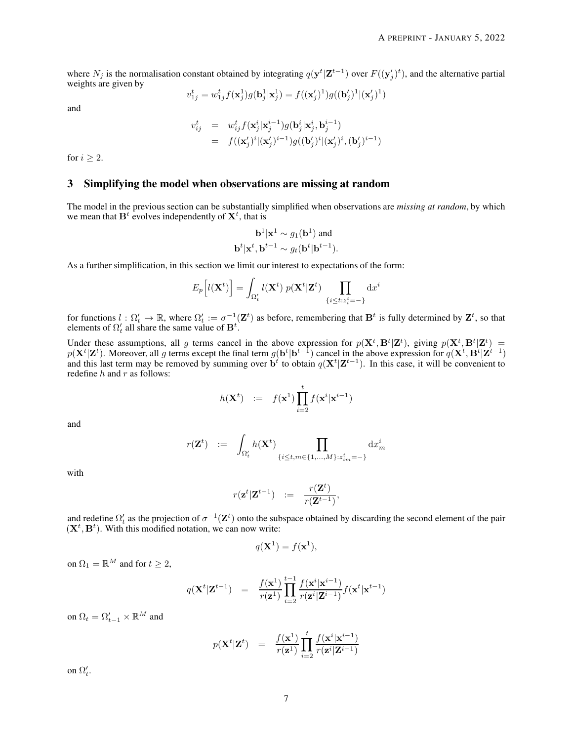where  $N_j$  is the normalisation constant obtained by integrating  $q(y^t | \mathbf{Z}^{t-1})$  over  $F((y'_j)^t)$ , and the alternative partial weights are given by

$$
v_{1j}^t = w_{1j}^t f(\mathbf{x}_j^1) g(\mathbf{b}_j^1 | \mathbf{x}_j^1) = f((\mathbf{x}_j')^1) g((\mathbf{b}_j')^1 | (\mathbf{x}_j')^1)
$$

and

$$
\begin{array}{lcl} v_{ij}^t & = & w_{ij}^t f(\textbf{x}_j^i | \textbf{x}_j^{i-1}) g(\textbf{b}_j^i | \textbf{x}_j^i, \textbf{b}_j^{i-1}) \\ & = & f((\textbf{x}_j')^i | (\textbf{x}_j')^{i-1}) g((\textbf{b}_j')^i | (\textbf{x}_j')^i, (\textbf{b}_j')^{i-1}) \end{array}
$$

for  $i \geq 2$ .

# 3 Simplifying the model when observations are missing at random

The model in the previous section can be substantially simplified when observations are *missing at random*, by which we mean that  $B^t$  evolves independently of  $X^t$ , that is

$$
\mathbf{b}^1|\mathbf{x}^1 \sim g_1(\mathbf{b}^1) \text{ and}
$$
  

$$
\mathbf{b}^t|\mathbf{x}^t, \mathbf{b}^{t-1} \sim g_t(\mathbf{b}^t|\mathbf{b}^{t-1}).
$$

As a further simplification, in this section we limit our interest to expectations of the form:

$$
E_p\left[l(\mathbf{X}^t)\right] = \int_{\Omega'_t} l(\mathbf{X}^t) \ p(\mathbf{X}^t|\mathbf{Z}^t) \prod_{\{i \le t : z_i^t = -\}} dx^i
$$

for functions  $l: \Omega'_t \to \mathbb{R}$ , where  $\Omega'_t := \sigma^{-1}(\mathbf{Z}^t)$  as before, remembering that  $\mathbf{B}^t$  is fully determined by  $\mathbf{Z}^t$ , so that elements of  $\Omega'_t$  all share the same value of  $\mathbf{B}^t$ .

Under these assumptions, all g terms cancel in the above expression for  $p(X^t, B^t | Z^t)$ , giving  $p(X^t, B^t | Z^t)$  =  $p(X^t | \mathbf{Z}^t)$ . Moreover, all g terms except the final term  $g(\mathbf{b}^t | \mathbf{b}^{t-1})$  cancel in the above expression for  $q(\mathbf{X}^t, \mathbf{B}^t | \mathbf{Z}^{t-1})$ and this last term may be removed by summing over  $\mathbf{b}^t$  to obtain  $q(\mathbf{X}^t | \mathbf{Z}^{t-1})$ . In this case, it will be convenient to redefine  $h$  and  $r$  as follows:

$$
h(\mathbf{X}^t) \quad := \quad f(\mathbf{x}^1) \prod_{i=2}^t f(\mathbf{x}^i | \mathbf{x}^{i-1})
$$

and

$$
r(\mathbf{Z}^t) \quad := \quad \int_{\Omega'_t} h(\mathbf{X}^t) \prod_{\{i \le t, m \in \{1, \ldots, M\}: z_{im}^t = -\}} \mathrm{d} x_m^i
$$

with

$$
r(\mathbf{z}^t|\mathbf{Z}^{t-1}) \quad := \quad \frac{r(\mathbf{Z}^t)}{r(\mathbf{Z}^{t-1})},
$$

and redefine  $\Omega'_t$  as the projection of  $\sigma^{-1}(\mathbf{Z}^t)$  onto the subspace obtained by discarding the second element of the pair  $(X<sup>t</sup>, B<sup>t</sup>)$ . With this modified notation, we can now write:

$$
q(\mathbf{X}^1) = f(\mathbf{x}^1),
$$

on  $\Omega_1 = \mathbb{R}^M$  and for  $t \geq 2$ ,

$$
q(\mathbf{X}^{t}|\mathbf{Z}^{t-1}) = \frac{f(\mathbf{x}^{1})}{r(\mathbf{z}^{1})} \prod_{i=2}^{t-1} \frac{f(\mathbf{x}^{i}|\mathbf{x}^{i-1})}{r(\mathbf{z}^{i}|\mathbf{Z}^{i-1})} f(\mathbf{x}^{t}|\mathbf{x}^{t-1})
$$

on  $\Omega_t = \Omega'_{t-1} \times \mathbb{R}^M$  and

$$
p(\mathbf{X}^t|\mathbf{Z}^t) = \frac{f(\mathbf{x}^1)}{r(\mathbf{z}^1)} \prod_{i=2}^t \frac{f(\mathbf{x}^i|\mathbf{x}^{i-1})}{r(\mathbf{z}^i|\mathbf{Z}^{i-1})}
$$

on  $\Omega'_t$ .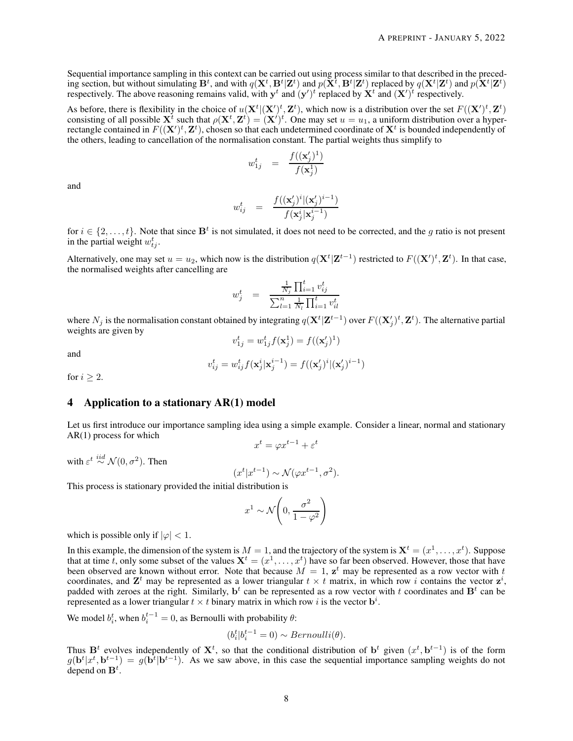Sequential importance sampling in this context can be carried out using process similar to that described in the preceding section, but without simulating  $B^t$ , and with  $q(X^t, B^t | \mathbf{Z}^t)$  and  $p(\tilde{X}^t, B^t | \mathbf{Z}^t)$  replaced by  $q(X^t | \mathbf{Z}^t)$  and  $p(\tilde{X}^t | \mathbf{Z}^t)$ respectively. The above reasoning remains valid, with  $y^t$  and  $(y')^t$  replaced by  $X^t$  and  $(X')^t$  respectively.

As before, there is flexibility in the choice of  $u(\mathbf{X}^t | (\mathbf{X}')^t, \mathbf{Z}^t)$ , which now is a distribution over the set  $F((\mathbf{X}')^t, \mathbf{Z}^t)$ consisting of all possible  $X^t$  such that  $\rho(X^t, Z^t) = (X')^t$ . One may set  $u = u_1$ , a uniform distribution over a hyperrectangle contained in  $F((X')^t, Z^t)$ , chosen so that each undetermined coordinate of  $X^t$  is bounded independently of the others, leading to cancellation of the normalisation constant. The partial weights thus simplify to

$$
w_{1j}^t = \frac{f((\mathbf{x}_j')^1)}{f(\mathbf{x}_j^1)}
$$

and

$$
w_{ij}^t = \frac{f((\mathbf{x}'_j)^i|(\mathbf{x}'_j)^{i-1})}{f(\mathbf{x}^i_j|\mathbf{x}^{i-1}_j)}
$$

for  $i \in \{2, \ldots, t\}$ . Note that since  $\mathbf{B}^t$  is not simulated, it does not need to be corrected, and the g ratio is not present in the partial weight  $w_{tj}^t$ .

Alternatively, one may set  $u = u_2$ , which now is the distribution  $q(\mathbf{X}^t | \mathbf{Z}^{t-1})$  restricted to  $F((\mathbf{X}')^t, \mathbf{Z}^t)$ . In that case, the normalised weights after cancelling are

$$
w_j^t = \frac{\frac{1}{N_j} \prod_{i=1}^t v_{ij}^t}{\sum_{l=1}^n \frac{1}{N_l} \prod_{i=1}^t v_{il}^t}
$$

where  $N_j$  is the normalisation constant obtained by integrating  $q(\mathbf{X}^t|\mathbf{Z}^{t-1})$  over  $F((\mathbf{X}'_j)^t,\mathbf{Z}^t)$ . The alternative partial weights are given by  $v_{1j}^t = w_{1j}^t f(\mathbf{x}_j^1) = f((\mathbf{x}'_j)^1)$ 

and

$$
v_{ij}^t=w_{ij}^tf(\mathbf{x}^i_j|\mathbf{x}^{i-1}_j)=f((\mathbf{x}'_j)^i|(\mathbf{x}'_j)^{i-1})
$$

for  $i > 2$ .

# 4 Application to a stationary AR(1) model

Let us first introduce our importance sampling idea using a simple example. Consider a linear, normal and stationary AR(1) process for which  $x^t = \varphi x^{t-1} + \varepsilon^t$ 

with  $\varepsilon^t \stackrel{iid}{\sim} \mathcal{N}(0, \sigma^2)$ . Then

$$
(x^t | x^{t-1}) \sim \mathcal{N}(\varphi x^{t-1}, \sigma^2).
$$

This process is stationary provided the initial distribution is

$$
x^1 \sim \mathcal{N}\left(0, \frac{\sigma^2}{1 - \varphi^2}\right)
$$

which is possible only if  $|\varphi|$  < 1.

In this example, the dimension of the system is  $M=1$ , and the trajectory of the system is  $\mathbf{X}^t=(x^1,\ldots,x^t)$ . Suppose that at time t, only some subset of the values  $X^t = (x^1, \dots, x^t)$  have so far been observed. However, those that have been observed are known without error. Note that because  $M = 1$ ,  $z^t$  may be represented as a row vector with t coordinates, and  $\mathbf{Z}^t$  may be represented as a lower triangular  $t \times t$  matrix, in which row i contains the vector  $\mathbf{z}^i$ , padded with zeroes at the right. Similarly,  $\mathbf{b}^t$  can be represented as a row vector with t coordinates and  $\mathbf{B}^t$  can be represented as a lower triangular  $t \times t$  binary matrix in which row i is the vector  $\mathbf{b}^i$ .

We model  $b_i^t$ , when  $b_i^{t-1} = 0$ , as Bernoulli with probability  $\theta$ :

$$
(b_i^t | b_i^{t-1} = 0) \sim Bernoulli(\theta).
$$

Thus  $B<sup>t</sup>$  evolves independently of  $X<sup>t</sup>$ , so that the conditional distribution of  $b<sup>t</sup>$  given  $(x<sup>t</sup>, b<sup>t-1</sup>)$  is of the form  $g(\mathbf{b}^t|x^t, \mathbf{b}^{t-1}) = g(\mathbf{b}^t|\mathbf{b}^{t-1})$ . As we saw above, in this case the sequential importance sampling weights do not depend on  $\mathbf{B}^{t}$ .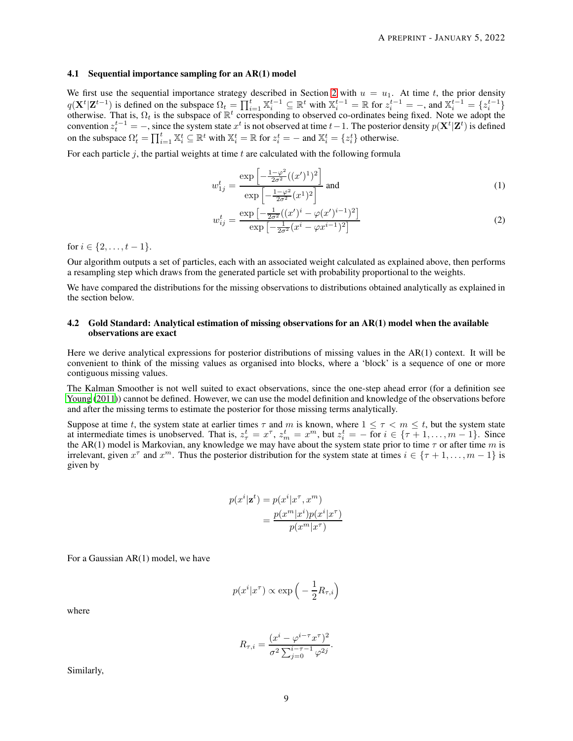#### 4.1 Sequential importance sampling for an AR(1) model

We first use the sequential importance strategy described in Section [2](#page-2-0) with  $u = u_1$ . At time t, the prior density  $q(\mathbf{X}^t | \mathbf{Z}^{t-1})$  is defined on the subspace  $\Omega_t = \prod_{i=1}^t \mathbb{X}_i^{t-1} \subseteq \mathbb{R}^t$  with  $\mathbb{X}_i^{t-1} = \mathbb{R}$  for  $z_i^{t-1} = -$ , and  $\mathbb{X}_i^{t-1} = \{z_i^{t-1}\}$ otherwise. That is,  $\Omega_t$  is the subspace of  $\mathbb{R}^t$  corresponding to observed co-ordinates being fixed. Note we adopt the convention  $z_t^{t-1} = -$ , since the system state  $x^t$  is not observed at time  $t-1$ . The posterior density  $p(\mathbf{X}^t|\mathbf{Z}^t)$  is defined on the subspace  $\Omega'_t = \prod_{i=1}^t \mathbb{X}_i^t \subseteq \mathbb{R}^t$  with  $\mathbb{X}_i^t = \mathbb{R}$  for  $z_i^t = -$  and  $\mathbb{X}_i^t = \{z_i^t\}$  otherwise.

For each particle  $j$ , the partial weights at time  $t$  are calculated with the following formula

<span id="page-8-0"></span>
$$
w_{1j}^{t} = \frac{\exp\left[-\frac{1-\varphi^{2}}{2\sigma^{2}}((x')^{1})^{2}\right]}{\exp\left[-\frac{1-\varphi^{2}}{2\sigma^{2}}(x^{1})^{2}\right]} \text{ and } (1)
$$

<span id="page-8-1"></span>
$$
w_{ij}^t = \frac{\exp\left[-\frac{1}{2\sigma^2}((x')^i - \varphi(x')^{i-1})^2\right]}{\exp\left[-\frac{1}{2\sigma^2}(x^i - \varphi x^{i-1})^2\right]}
$$
(2)

for  $i \in \{2, \ldots, t-1\}$ .

Our algorithm outputs a set of particles, each with an associated weight calculated as explained above, then performs a resampling step which draws from the generated particle set with probability proportional to the weights.

We have compared the distributions for the missing observations to distributions obtained analytically as explained in the section below.

#### 4.2 Gold Standard: Analytical estimation of missing observations for an AR(1) model when the available observations are exact

Here we derive analytical expressions for posterior distributions of missing values in the AR(1) context. It will be convenient to think of the missing values as organised into blocks, where a 'block' is a sequence of one or more contiguous missing values.

The Kalman Smoother is not well suited to exact observations, since the one-step ahead error (for a definition see [Young \(2011\)](#page-15-2)) cannot be defined. However, we can use the model definition and knowledge of the observations before and after the missing terms to estimate the posterior for those missing terms analytically.

Suppose at time t, the system state at earlier times  $\tau$  and m is known, where  $1 \leq \tau < m \leq t$ , but the system state at intermediate times is unobserved. That is,  $z_{\tau}^t = x^{\tau}$ ,  $z_m^t = x^m$ , but  $z_i^t = -$  for  $i \in {\tau + 1, ..., m - 1}$ . Since the AR(1) model is Markovian, any knowledge we may have about the system state prior to time  $\tau$  or after time m is irrelevant, given  $x^{\tau}$  and  $x^m$ . Thus the posterior distribution for the system state at times  $i \in {\tau + 1, ..., m - 1}$  is given by

$$
p(x^{i}|\mathbf{z}^{t}) = p(x^{i}|\mathbf{x}^{\tau}, \mathbf{x}^{m})
$$

$$
= \frac{p(x^{m}|\mathbf{x}^{i})p(x^{i}|\mathbf{x}^{\tau})}{p(x^{m}|\mathbf{x}^{\tau})}
$$

For a Gaussian AR(1) model, we have

$$
p(x^i|x^\tau) \propto \exp\left(-\frac{1}{2}R_{\tau,i}\right)
$$

where

$$
R_{\tau,i} = \frac{(x^i - \varphi^{i-\tau} x^{\tau})^2}{\sigma^2 \sum_{j=0}^{i-\tau-1} \varphi^{2j}}.
$$

Similarly,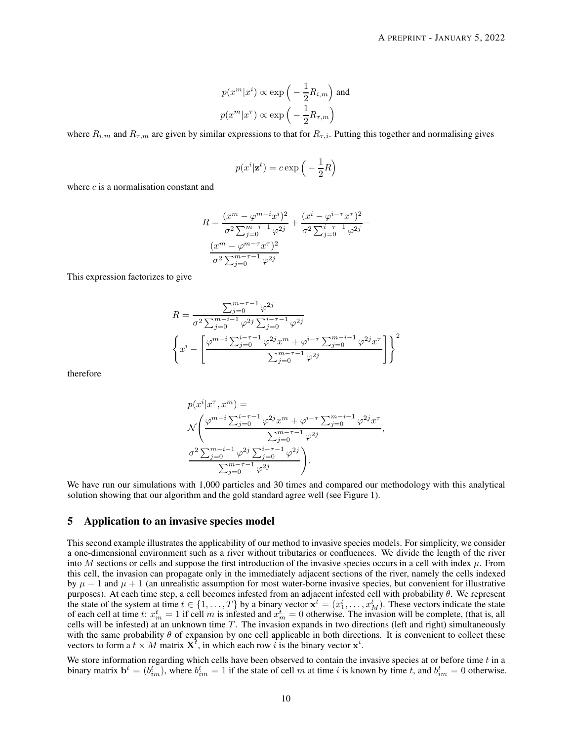$$
p(x^m|x^i) \propto \exp\left(-\frac{1}{2}R_{i,m}\right)
$$
 and  

$$
p(x^m|x^{\tau}) \propto \exp\left(-\frac{1}{2}R_{\tau,m}\right)
$$

where  $R_{i,m}$  and  $R_{\tau,m}$  are given by similar expressions to that for  $R_{\tau,i}$ . Putting this together and normalising gives

$$
p(x^i|\mathbf{z}^t) = c \exp\Big(-\frac{1}{2}R\Big)
$$

where  $c$  is a normalisation constant and

$$
R = \frac{(x^m - \varphi^{m-i}x^i)^2}{\sigma^2 \sum_{j=0}^{m-i-1} \varphi^{2j}} + \frac{(x^i - \varphi^{i-\tau}x^{\tau})^2}{\sigma^2 \sum_{j=0}^{i-\tau-1} \varphi^{2j}} - \frac{(x^m - \varphi^{m-\tau}x^{\tau})^2}{\sigma^2 \sum_{j=0}^{m-\tau-1} \varphi^{2j}}
$$

This expression factorizes to give

$$
R = \frac{\sum_{j=0}^{m-\tau-1} \varphi^{2j}}{\sigma^2 \sum_{j=0}^{m-i-1} \varphi^{2j} \sum_{j=0}^{i-\tau-1} \varphi^{2j}} \left\{ x^i - \left[ \frac{\varphi^{m-i} \sum_{j=0}^{i-\tau-1} \varphi^{2j} x^m + \varphi^{i-\tau} \sum_{j=0}^{m-i-1} \varphi^{2j} x^{\tau}}{\sum_{j=0}^{m-\tau-1} \varphi^{2j}} \right] \right\}^2
$$

therefore

$$
\begin{split} &p(x^i|x^{\tau},x^m)= \\ &\mathcal{N}\Bigg(\frac{\varphi^{m-i}\sum_{j=0}^{i-\tau-1}\varphi^{2j}x^m+\varphi^{i-\tau}\sum_{j=0}^{m-i-1}\varphi^{2j}x^{\tau}}{\sum_{j=0}^{m-\tau-1}\varphi^{2j}},\\ &\frac{\sigma^2\sum_{j=0}^{m-i-1}\varphi^{2j}\sum_{j=0}^{i-\tau-1}\varphi^{2j}}{\sum_{j=0}^{m-\tau-1}\varphi^{2j}}\Bigg). \end{split}
$$

We have run our simulations with 1,000 particles and 30 times and compared our methodology with this analytical solution showing that our algorithm and the gold standard agree well (see Figure 1).

## 5 Application to an invasive species model

This second example illustrates the applicability of our method to invasive species models. For simplicity, we consider a one-dimensional environment such as a river without tributaries or confluences. We divide the length of the river into M sections or cells and suppose the first introduction of the invasive species occurs in a cell with index  $\mu$ . From this cell, the invasion can propagate only in the immediately adjacent sections of the river, namely the cells indexed by  $\mu - 1$  and  $\mu + 1$  (an unrealistic assumption for most water-borne invasive species, but convenient for illustrative purposes). At each time step, a cell becomes infested from an adjacent infested cell with probability θ. We represent the state of the system at time  $t \in \{1, \ldots, T\}$  by a binary vector  $\mathbf{x}^t = (x_1^t, \ldots, x_M^t)$ . These vectors indicate the state of each cell at time t:  $x_m^t = 1$  if cell m is infested and  $x_m^t = 0$  otherwise. The invasion will be complete, (that is, all cells will be infested) at an unknown time  $T$ . The invasion expands in two directions (left and right) simultaneously with the same probability  $\theta$  of expansion by one cell applicable in both directions. It is convenient to collect these vectors to form a  $t \times M$  matrix  $\mathbf{X}^t$ , in which each row i is the binary vector  $\mathbf{x}^i$ .

We store information regarding which cells have been observed to contain the invasive species at or before time  $t$  in a binary matrix  $\mathbf{b}^t = (b_{im}^t)$ , where  $b_{im}^t = 1$  if the state of cell m at time i is known by time t, and  $b_{im}^t = 0$  otherwise.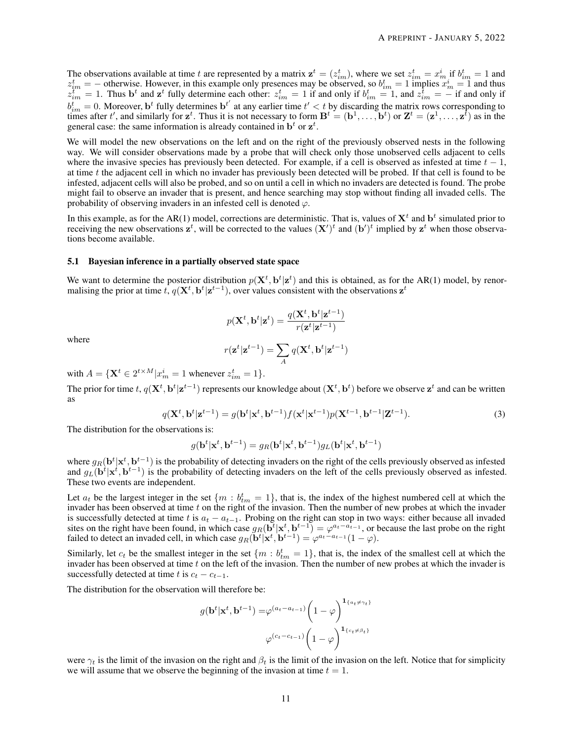The observations available at time t are represented by a matrix  $\mathbf{z}^t = (z_{im}^t)$ , where we set  $z_{im}^t = x_m^i$  if  $b_{im}^t = 1$  and  $z_{im}^t = -$  otherwise. However, in this example only presences may be observed, so  $b_{im}^t = 1$  implies  $x_m^i = 1$  and thus  $z_{im}^{t^m} = 1$ . Thus b<sup>t</sup> and  $z^t$  fully determine each other:  $z_{im}^t = 1$  if and only if  $b_{im}^t = 1$ , and  $z_{im}^t = -$  if and only if  $b_{im}^t = 0$ . Moreover, b<sup>t</sup> fully determines b<sup>t'</sup> at any earlier time  $t' < t$  by discarding the matrix rows corresponding to times after t', and similarly for  $z^t$ . Thus it is not necessary to form  $B^t = (\mathbf{b}^1, \dots, \mathbf{b}^t)$  or  $\mathbf{Z}^t = (\mathbf{z}^1, \dots, \mathbf{z}^t)$  as in the general case: the same information is already contained in  $\mathbf{b}^t$  or  $\mathbf{z}^t$ .

We will model the new observations on the left and on the right of the previously observed nests in the following way. We will consider observations made by a probe that will check only those unobserved cells adjacent to cells where the invasive species has previously been detected. For example, if a cell is observed as infested at time  $t - 1$ , at time t the adjacent cell in which no invader has previously been detected will be probed. If that cell is found to be infested, adjacent cells will also be probed, and so on until a cell in which no invaders are detected is found. The probe might fail to observe an invader that is present, and hence searching may stop without finding all invaded cells. The probability of observing invaders in an infested cell is denoted  $\varphi$ .

In this example, as for the AR(1) model, corrections are deterministic. That is, values of  $X^t$  and  $b^t$  simulated prior to receiving the new observations  $z^t$ , will be corrected to the values  $(X')^t$  and  $(b')^t$  implied by  $z^t$  when those observations become available.

#### 5.1 Bayesian inference in a partially observed state space

We want to determine the posterior distribution  $p(X^t, b^t | z^t)$  and this is obtained, as for the AR(1) model, by renormalising the prior at time  $t$ ,  $q(\mathbf{X}^t, \mathbf{b}^t | \mathbf{z}^{t-1})$ , over values consistent with the observations  $\mathbf{z}^t$ 

$$
p(\mathbf{X}^t,\mathbf{b}^t|\mathbf{z}^t) = \frac{q(\mathbf{X}^t,\mathbf{b}^t|\mathbf{z}^{t-1})}{r(\mathbf{z}^t|\mathbf{z}^{t-1})}
$$

where

<span id="page-10-0"></span>
$$
r(\mathbf{z}^t|\mathbf{z}^{t-1})=\sum_A q(\mathbf{X}^t,\mathbf{b}^t|\mathbf{z}^{t-1})
$$

with  $A = {\mathbf{X}^t \in 2^{t \times M} | x_m^i = 1 \text{ whenever } z_{im}^t = 1}.$ 

The prior for time  $t$ ,  $q(\mathbf{X}^t, \mathbf{b}^t | \mathbf{z}^{t-1})$  represents our knowledge about  $(\mathbf{X}^t, \mathbf{b}^t)$  before we observe  $\mathbf{z}^t$  and can be written as

$$
q(\mathbf{X}^t, \mathbf{b}^t | \mathbf{z}^{t-1}) = g(\mathbf{b}^t | \mathbf{x}^t, \mathbf{b}^{t-1}) f(\mathbf{x}^t | \mathbf{x}^{t-1}) p(\mathbf{X}^{t-1}, \mathbf{b}^{t-1} | \mathbf{Z}^{t-1}).
$$
\n(3)

The distribution for the observations is:

$$
g(\mathbf{b}^t|\mathbf{x}^t,\mathbf{b}^{t-1})=g_R(\mathbf{b}^t|\mathbf{x}^t,\mathbf{b}^{t-1})g_L(\mathbf{b}^t|\mathbf{x}^t,\mathbf{b}^{t-1})
$$

where  $g_R(b^t|x^t, b^{t-1})$  is the probability of detecting invaders on the right of the cells previously observed as infested and  $g_L(b^t|x^t, b^{t-1})$  is the probability of detecting invaders on the left of the cells previously observed as infested. These two events are independent.

Let  $a_t$  be the largest integer in the set  $\{m : b_{tm}^t = 1\}$ , that is, the index of the highest numbered cell at which the invader has been observed at time  $t$  on the right of the invasion. Then the number of new probes at which the invader is successfully detected at time t is  $a_t - a_{t-1}$ . Probing on the right can stop in two ways: either because all invaded sites on the right have been found, in which case  $g_R(b^t|x^t, b^{t-1}) = \varphi^{a_t - a_{t-1}}$ , or because the last probe on the right failed to detect an invaded cell, in which case  $g_R(\mathbf{b}^t | \mathbf{x}^t, \mathbf{b}^{t-1}) = \varphi^{a_t - a_{t-1}}(1 - \varphi)$ .

Similarly, let  $c_t$  be the smallest integer in the set  $\{m : b_{tm}^t = 1\}$ , that is, the index of the smallest cell at which the invader has been observed at time  $t$  on the left of the invasion. Then the number of new probes at which the invader is successfully detected at time t is  $c_t - c_{t-1}$ .

The distribution for the observation will therefore be:

$$
g(\mathbf{b}^t|\mathbf{x}^t, \mathbf{b}^{t-1}) = \varphi^{(a_t - a_{t-1})} \left(1 - \varphi\right)^{\mathbf{1}_{\{a_t \neq \gamma_t\}}} \varphi^{(c_t - c_{t-1})} \left(1 - \varphi\right)^{\mathbf{1}_{\{c_t \neq \beta_t\}}}
$$

were  $\gamma_t$  is the limit of the invasion on the right and  $\beta_t$  is the limit of the invasion on the left. Notice that for simplicity we will assume that we observe the beginning of the invasion at time  $t = 1$ .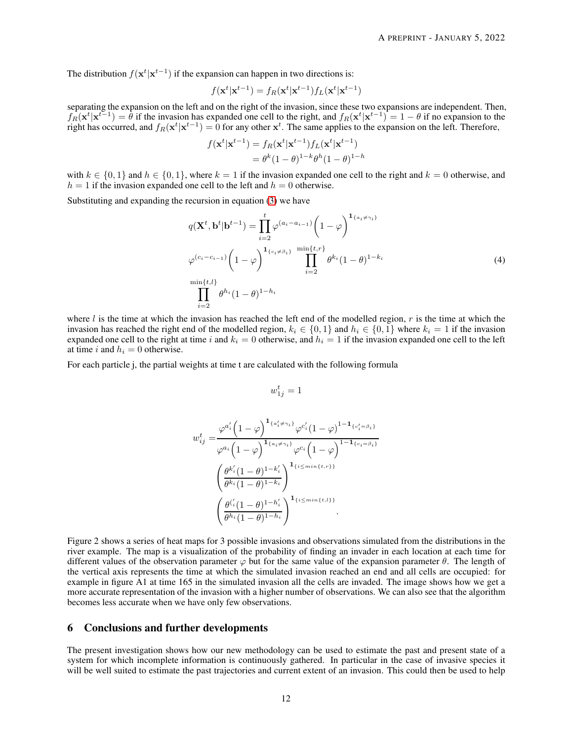The distribution  $f(\mathbf{x}^t | \mathbf{x}^{t-1})$  if the expansion can happen in two directions is:

$$
f(\mathbf{x}^t|\mathbf{x}^{t-1}) = f_R(\mathbf{x}^t|\mathbf{x}^{t-1})f_L(\mathbf{x}^t|\mathbf{x}^{t-1})
$$

separating the expansion on the left and on the right of the invasion, since these two expansions are independent. Then,  $f_R(\mathbf{x}^t | \mathbf{x}^{t-1}) = \hat{\theta}$  if the invasion has expanded one cell to the right, and  $f_R(\mathbf{x}^t | \mathbf{x}^{t-1}) = 1 - \theta$  if no expansion to the right has occurred, and  $f_R(\mathbf{x}^t | \mathbf{x}^{t-1}) = 0$  for any other  $\mathbf{x}^t$ . The same applies to the expansion on the left. Therefore,

$$
f(\mathbf{x}^t|\mathbf{x}^{t-1}) = f_R(\mathbf{x}^t|\mathbf{x}^{t-1})f_L(\mathbf{x}^t|\mathbf{x}^{t-1})
$$
  
=  $\theta^k(1-\theta)^{1-k}\theta^h(1-\theta)^{1-h}$ 

with  $k \in \{0, 1\}$  and  $h \in \{0, 1\}$ , where  $k = 1$  if the invasion expanded one cell to the right and  $k = 0$  otherwise, and  $h = 1$  if the invasion expanded one cell to the left and  $h = 0$  otherwise.

Substituting and expanding the recursion in equation [\(3\)](#page-10-0) we have

$$
q(\mathbf{X}^{t}, \mathbf{b}^{t} | \mathbf{b}^{t-1}) = \prod_{i=2}^{t} \varphi^{(a_i - a_{i-1})} \left(1 - \varphi\right)^{\mathbf{1}_{\{a_i \neq \gamma_i\}}}
$$
  

$$
\varphi^{(c_i - c_{i-1})} \left(1 - \varphi\right)^{\mathbf{1}_{\{c_i \neq \beta_i\}} \min\{t, r\}} \prod_{i=2}^{\min\{t, r\}} \theta^{k_i} (1 - \theta)^{1 - k_i}
$$
  

$$
\prod_{i=2}^{\min\{t, l\}} \theta^{h_i} (1 - \theta)^{1 - h_i}
$$
 (4)

where  $l$  is the time at which the invasion has reached the left end of the modelled region, r is the time at which the invasion has reached the right end of the modelled region,  $k_i \in \{0,1\}$  and  $h_i \in \{0,1\}$  where  $k_i = 1$  if the invasion expanded one cell to the right at time i and  $k_i = 0$  otherwise, and  $h_i = 1$  if the invasion expanded one cell to the left at time i and  $h_i = 0$  otherwise.

For each particle j, the partial weights at time t are calculated with the following formula

<span id="page-11-0"></span>
$$
w_{1j}^t = 1
$$

$$
w_{ij}^t = \frac{\varphi^{a'_i} \left(1-\varphi\right)^{\mathbf{1}_{\{a'_i \neq \gamma_i\}}}\varphi^{c'_i} \left(1-\varphi\right)^{1-\mathbf{1}_{\{c'_i = \beta_i\}}}}{\varphi^{a_i} \left(1-\varphi\right)^{\mathbf{1}_{\{a_i \neq \gamma_i\}}}\varphi^{c_i} \left(1-\varphi\right)^{1-\mathbf{1}_{\{c_i = \beta_i\}}}}}
$$

$$
\left(\frac{\theta^{k'_i} (1-\theta)^{1-k'_i}}{\theta^{k_i} (1-\theta)^{1-k_i}}\right)^{\mathbf{1}_{\{i \le \min\{t,r\}\}}}}
$$

$$
\left(\frac{\theta^{('_i)} (1-\theta)^{1-k'_i}}{\theta^{h_i} (1-\theta)^{1-h_i}}\right)^{\mathbf{1}_{\{i \le \min\{t,l\}\}}}.
$$

Figure 2 shows a series of heat maps for 3 possible invasions and observations simulated from the distributions in the river example. The map is a visualization of the probability of finding an invader in each location at each time for different values of the observation parameter  $\varphi$  but for the same value of the expansion parameter  $\theta$ . The length of the vertical axis represents the time at which the simulated invasion reached an end and all cells are occupied: for example in figure A1 at time 165 in the simulated invasion all the cells are invaded. The image shows how we get a more accurate representation of the invasion with a higher number of observations. We can also see that the algorithm becomes less accurate when we have only few observations.

# 6 Conclusions and further developments

The present investigation shows how our new methodology can be used to estimate the past and present state of a system for which incomplete information is continuously gathered. In particular in the case of invasive species it will be well suited to estimate the past trajectories and current extent of an invasion. This could then be used to help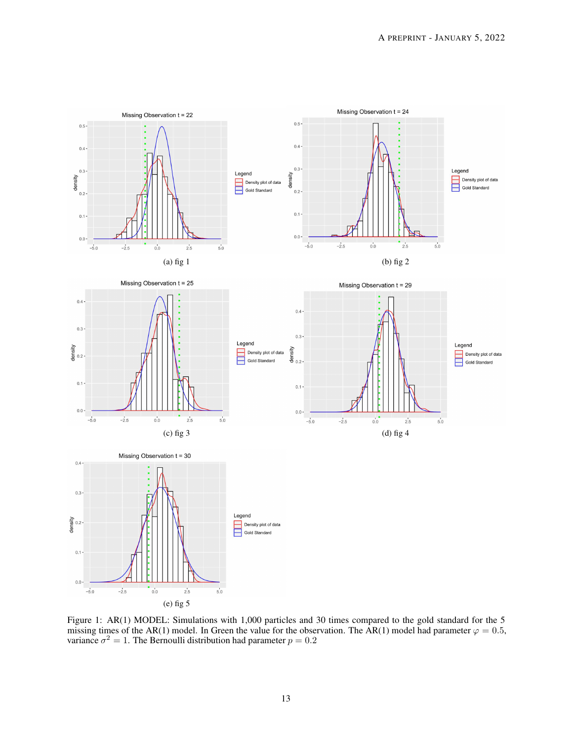

Figure 1: AR(1) MODEL: Simulations with 1,000 particles and 30 times compared to the gold standard for the 5 missing times of the AR(1) model. In Green the value for the observation. The AR(1) model had parameter  $\varphi = 0.5$ , variance  $\sigma^2 = 1$ . The Bernoulli distribution had parameter  $p = 0.2$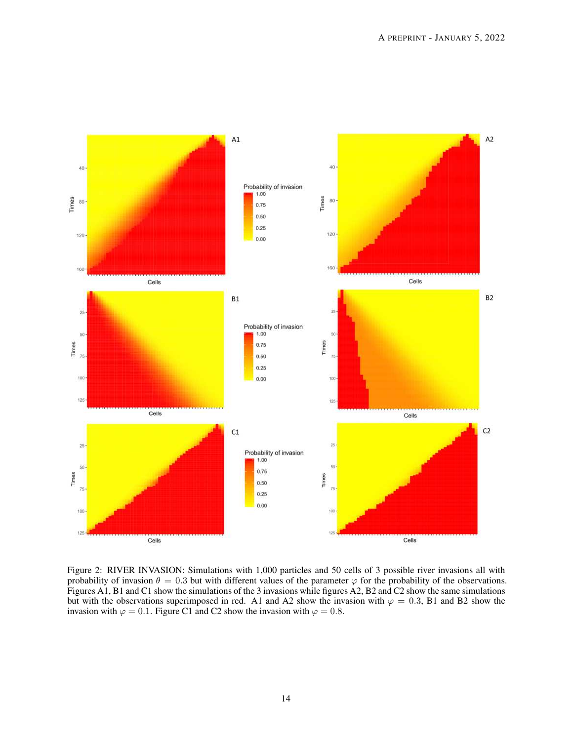

Figure 2: RIVER INVASION: Simulations with 1,000 particles and 50 cells of 3 possible river invasions all with probability of invasion  $\theta = 0.3$  but with different values of the parameter  $\varphi$  for the probability of the observations. Figures A1, B1 and C1 show the simulations of the 3 invasions while figures A2, B2 and C2 show the same simulations but with the observations superimposed in red. A1 and A2 show the invasion with  $\varphi = 0.3$ , B1 and B2 show the invasion with  $\varphi = 0.1$ . Figure C1 and C2 show the invasion with  $\varphi = 0.8$ .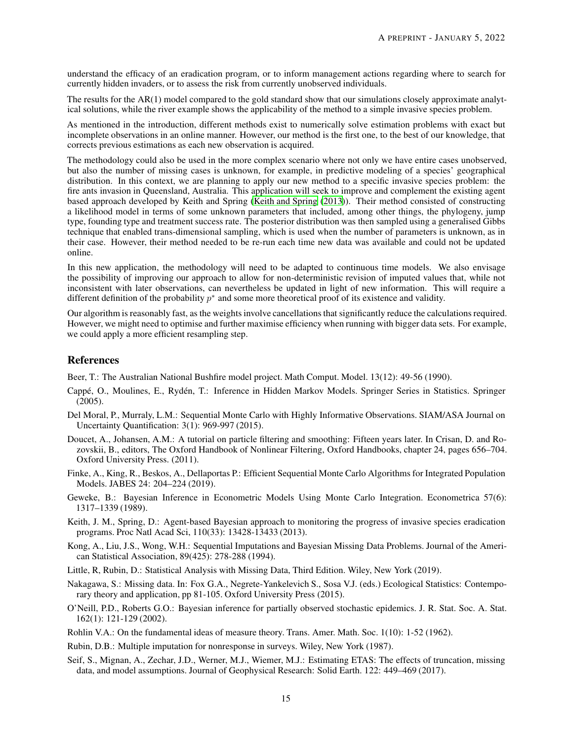understand the efficacy of an eradication program, or to inform management actions regarding where to search for currently hidden invaders, or to assess the risk from currently unobserved individuals.

The results for the AR(1) model compared to the gold standard show that our simulations closely approximate analytical solutions, while the river example shows the applicability of the method to a simple invasive species problem.

As mentioned in the introduction, different methods exist to numerically solve estimation problems with exact but incomplete observations in an online manner. However, our method is the first one, to the best of our knowledge, that corrects previous estimations as each new observation is acquired.

The methodology could also be used in the more complex scenario where not only we have entire cases unobserved, but also the number of missing cases is unknown, for example, in predictive modeling of a species' geographical distribution. In this context, we are planning to apply our new method to a specific invasive species problem: the fire ants invasion in Queensland, Australia. This application will seek to improve and complement the existing agent based approach developed by Keith and Spring [\(Keith and Spring](#page-14-12) [\(2013\)](#page-14-12)). Their method consisted of constructing a likelihood model in terms of some unknown parameters that included, among other things, the phylogeny, jump type, founding type and treatment success rate. The posterior distribution was then sampled using a generalised Gibbs technique that enabled trans-dimensional sampling, which is used when the number of parameters is unknown, as in their case. However, their method needed to be re-run each time new data was available and could not be updated online.

In this new application, the methodology will need to be adapted to continuous time models. We also envisage the possibility of improving our approach to allow for non-deterministic revision of imputed values that, while not inconsistent with later observations, can nevertheless be updated in light of new information. This will require a different definition of the probability  $p^*$  and some more theoretical proof of its existence and validity.

Our algorithm is reasonably fast, as the weights involve cancellations that significantly reduce the calculations required. However, we might need to optimise and further maximise efficiency when running with bigger data sets. For example, we could apply a more efficient resampling step.

# References

<span id="page-14-1"></span>Beer, T.: The Australian National Bushfire model project. Math Comput. Model. 13(12): 49-56 (1990).

- <span id="page-14-6"></span>Cappé, O., Moulines, E., Rydén, T.: Inference in Hidden Markov Models. Springer Series in Statistics. Springer  $(2005)$ .
- Del Moral, P., Murraly, L.M.: Sequential Monte Carlo with Highly Informative Observations. SIAM/ASA Journal on Uncertainty Quantification: 3(1): 969-997 (2015).
- <span id="page-14-7"></span>Doucet, A., Johansen, A.M.: A tutorial on particle filtering and smoothing: Fifteen years later. In Crisan, D. and Rozovskii, B., editors, The Oxford Handbook of Nonlinear Filtering, Oxford Handbooks, chapter 24, pages 656–704. Oxford University Press. (2011).
- <span id="page-14-9"></span>Finke, A., King, R., Beskos, A., Dellaportas P.: Efficient Sequential Monte Carlo Algorithms for Integrated Population Models. JABES 24: 204–224 (2019).
- <span id="page-14-11"></span>Geweke, B.: Bayesian Inference in Econometric Models Using Monte Carlo Integration. Econometrica 57(6): 1317–1339 (1989).
- <span id="page-14-12"></span>Keith, J. M., Spring, D.: Agent-based Bayesian approach to monitoring the progress of invasive species eradication programs. Proc Natl Acad Sci, 110(33): 13428-13433 (2013).
- <span id="page-14-8"></span>Kong, A., Liu, J.S., Wong, W.H.: Sequential Imputations and Bayesian Missing Data Problems. Journal of the American Statistical Association, 89(425): 278-288 (1994).
- <span id="page-14-5"></span>Little, R, Rubin, D.: Statistical Analysis with Missing Data, Third Edition. Wiley, New York (2019).
- <span id="page-14-4"></span>Nakagawa, S.: Missing data. In: Fox G.A., Negrete-Yankelevich S., Sosa V.J. (eds.) Ecological Statistics: Contemporary theory and application, pp 81-105. Oxford University Press (2015).
- <span id="page-14-2"></span>O'Neill, P.D., Roberts G.O.: Bayesian inference for partially observed stochastic epidemics. J. R. Stat. Soc. A. Stat. 162(1): 121-129 (2002).
- <span id="page-14-10"></span>Rohlin V.A.: On the fundamental ideas of measure theory. Trans. Amer. Math. Soc. 1(10): 1-52 (1962).
- <span id="page-14-3"></span>Rubin, D.B.: Multiple imputation for nonresponse in surveys. Wiley, New York (1987).
- <span id="page-14-0"></span>Seif, S., Mignan, A., Zechar, J.D., Werner, M.J., Wiemer, M.J.: Estimating ETAS: The effects of truncation, missing data, and model assumptions. Journal of Geophysical Research: Solid Earth. 122: 449–469 (2017).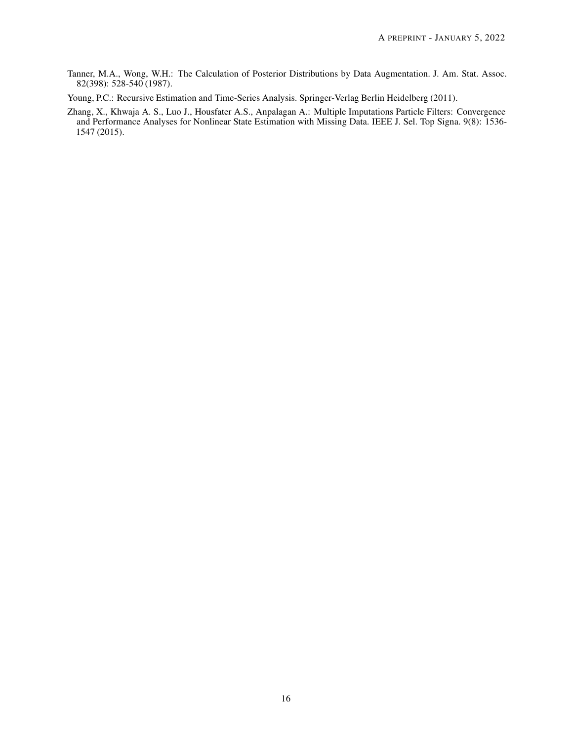- <span id="page-15-0"></span>Tanner, M.A., Wong, W.H.: The Calculation of Posterior Distributions by Data Augmentation. J. Am. Stat. Assoc. 82(398): 528-540 (1987).
- <span id="page-15-2"></span>Young, P.C.: Recursive Estimation and Time-Series Analysis. Springer-Verlag Berlin Heidelberg (2011).
- <span id="page-15-1"></span>Zhang, X., Khwaja A. S., Luo J., Housfater A.S., Anpalagan A.: Multiple Imputations Particle Filters: Convergence and Performance Analyses for Nonlinear State Estimation with Missing Data. IEEE J. Sel. Top Signa. 9(8): 1536- 1547 (2015).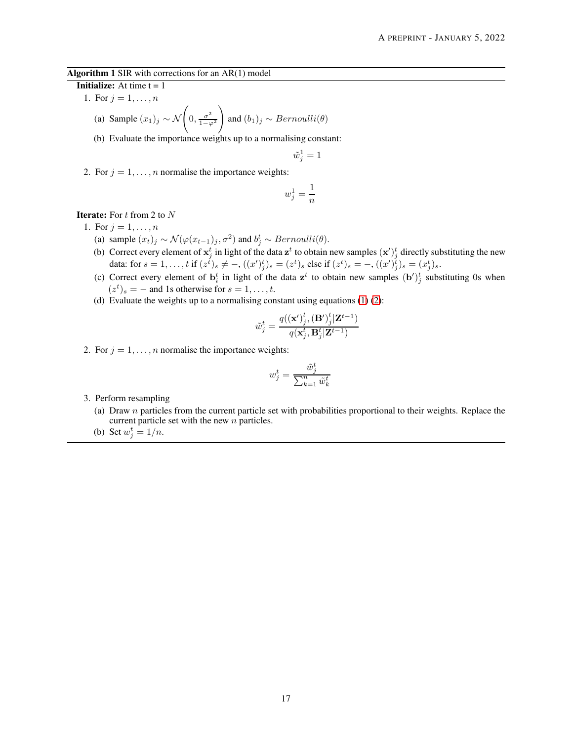## Algorithm 1 SIR with corrections for an AR(1) model

**Initialize:** At time  $t = 1$ 

1. For  $j = 1, ..., n$ 

(a) Sample 
$$
(x_1)_j \sim \mathcal{N}\left(0, \frac{\sigma^2}{1-\varphi^2}\right)
$$
 and  $(b_1)_j \sim Bernoulli(\theta)$ 

(b) Evaluate the importance weights up to a normalising constant:

$$
\tilde{w}_j^1 = 1
$$

2. For  $j = 1, \ldots, n$  normalise the importance weights:

$$
w_j^1 = \frac{1}{n}
$$

# **Iterate:** For  $t$  from 2 to  $N$

- 1. For  $j = 1, ..., n$ 
	- (a) sample  $(x_t)_j \sim \mathcal{N}(\varphi(x_{t-1})_j, \sigma^2)$  and  $b_j^t \sim Bernoulli(\theta)$ .
	- (b) Correct every element of  $x_j^t$  in light of the data  $z^t$  to obtain new samples  $(x')_j^t$  directly substituting the new data: for  $s = 1, ..., t$  if  $(z^t)_s \neq -, ((x')^t_j)_s = (z^t)_s$  else if  $(z^t)_s = -, ((x')^t_j)_s = (x^t_j)_s$ .
	- (c) Correct every element of  $\mathbf{b}_i^t$  in light of the data  $\mathbf{z}^t$  to obtain new samples  $(\mathbf{b}')_j^t$  substituting 0s when  $(z^t)_s = -$  and 1s otherwise for  $s = 1, \ldots, t$ .
	- (d) Evaluate the weights up to a normalising constant using equations  $(1)$   $(2)$ :

$$
\tilde{w}_j^t = \frac{q(\mathbf{x}')^t_j, \mathbf{(B')}^t_j|\mathbf{Z}^{t-1})}{q(\mathbf{x}^t_j, \mathbf{B}^t_j|\mathbf{Z}^{t-1})}
$$

2. For  $j = 1, \ldots, n$  normalise the importance weights:

$$
w_j^t = \frac{\tilde{w}_j^t}{\sum_{k=1}^n \tilde{w}_k^t}
$$

- 3. Perform resampling
	- (a) Draw  $n$  particles from the current particle set with probabilities proportional to their weights. Replace the current particle set with the new n particles.
	- (b) Set  $w_j^t = 1/n$ .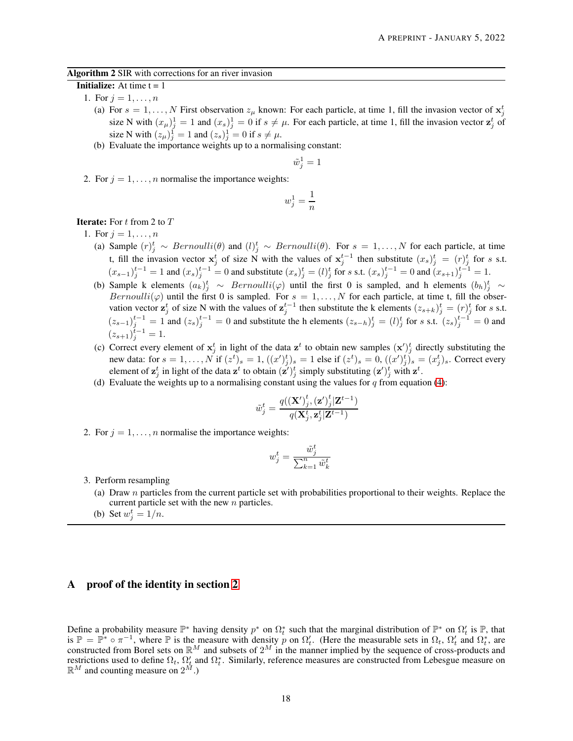#### Algorithm 2 SIR with corrections for an river invasion

## **Initialize:** At time  $t = 1$

- 1. For  $j = 1, ..., n$ 
	- (a) For  $s = 1, ..., N$  First observation  $z_{\mu}$  known: For each particle, at time 1, fill the invasion vector of  $\mathbf{x}_{j}^{t}$ size N with  $(x_\mu)^1 = 1$  and  $(x_s)^1 = 0$  if  $s \neq \mu$ . For each particle, at time 1, fill the invasion vector  $z_j^t$  of size N with  $(z_{\mu})_j^1 = 1$  and  $(z_s)_j^1 = 0$  if  $s \neq \mu$ .
	- (b) Evaluate the importance weights up to a normalising constant:

$$
\tilde{w}_j^1=1
$$

2. For  $j = 1, \ldots, n$  normalise the importance weights:

$$
w_j^1=\frac{1}{n}
$$

# **Iterate:** For  $t$  from 2 to  $T$

- 1. For  $j = 1, ..., n$ 
	- (a) Sample  $(r)^t_j \sim Bernoulli(\theta)$  and  $(l)^t_j \sim Bernoulli(\theta)$ . For  $s = 1, ..., N$  for each particle, at time t, fill the invasion vector  $x_j^t$  of size N with the values of  $x_j^{t-1}$  then substitute  $(x_s)^t_j = (r)^t_j$  for s s.t.  $(x_{s-1})_j^{t-1} = 1$  and  $(x_s)_{j}^{t-1} = 0$  and substitute  $(x_s)_{j}^{t} = (l)_j^t$  for s s.t.  $(x_s)_{j}^{t-1} = 0$  and  $(x_{s+1})_{j}^{t-1} = 1$ .
	- (b) Sample k elements  $(a_k)^t_j \sim Bernoulli(\varphi)$  until the first 0 is sampled, and h elements  $(b_h)^t_j \sim$ Bernoulli( $\varphi$ ) until the first 0 is sampled. For  $s = 1, \ldots, N$  for each particle, at time t, fill the observation vector  $\mathbf{z}_j^t$  of size N with the values of  $\mathbf{z}_j^{t-1}$  then substitute the k elements  $(z_{s+k})_j^t = (r)_j^t$  for s s.t.  $(z_{s-1})_j^{t-1} = 1$  and  $(z_s)_{j}^{t-1} = 0$  and substitute the h elements  $(z_{s-h})_j^t = (l)_j^t$  for s s.t.  $(z_s)_{j}^{t-1} = 0$  and  $(z_{s+1})_j^{t-1} = 1.$
	- (c) Correct every element of  $x_j^t$  in light of the data  $z^t$  to obtain new samples  $(x')_j^t$  directly substituting the new data: for  $s = 1, \ldots, N$  if  $(z^t)_s = 1$ ,  $((x')^t_j)_s = 1$  else if  $(z^t)_s = 0$ ,  $((x')^t_j)_s = (x^t_j)_s$ . Correct every element of  $\mathbf{z}_j^t$  in light of the data  $\mathbf{z}^t$  to obtain  $(\mathbf{z}')_j^t$  simply substituting  $(\mathbf{z}')_j^t$  with  $\mathbf{z}^t$ .
	- (d) Evaluate the weights up to a normalising constant using the values for  $q$  from equation [\(4\)](#page-11-0):

$$
\tilde{w}_j^t = \frac{q(\mathbf{X}')^t_j, \left(\mathbf{z}')^t_j\middle|\mathbf{Z}^{t-1}\right)}{q(\mathbf{X}_j^t, \mathbf{z}_j^t|\mathbf{Z}^{t-1})}
$$

2. For  $j = 1, \ldots, n$  normalise the importance weights:

$$
w_j^t = \frac{\tilde{w}_j^t}{\sum_{k=1}^n \tilde{w}_k^t}
$$

- 3. Perform resampling
	- (a) Draw  $n$  particles from the current particle set with probabilities proportional to their weights. Replace the current particle set with the new n particles.
	- (b) Set  $w_j^t = 1/n$ .

# A proof of the identity in section [2](#page-2-0)

Define a probability measure  $\mathbb{P}^*$  having density  $p^*$  on  $\Omega_t^*$  such that the marginal distribution of  $\mathbb{P}^*$  on  $\Omega_t'$  is  $\mathbb{P}$ , that is  $\mathbb{P} = \mathbb{P}^* \circ \pi^{-1}$ , where  $\mathbb P$  is the measure with density p on  $\Omega'_t$ . (Here the measurable sets in  $\Omega_t$ ,  $\Omega'_t$  and  $\Omega_t^*$ , are constructed from Borel sets on  $\mathbb{R}^M$  and subsets of  $2^M$  in the manner implied by the sequence of cross-products and restrictions used to define  $\Omega_t$ ,  $\Omega'_t$  and  $\Omega_t^*$ . Similarly, reference measures are constructed from Lebesgue measure on  $\mathbb{R}^M$  and counting measure on  $2^M$ .)